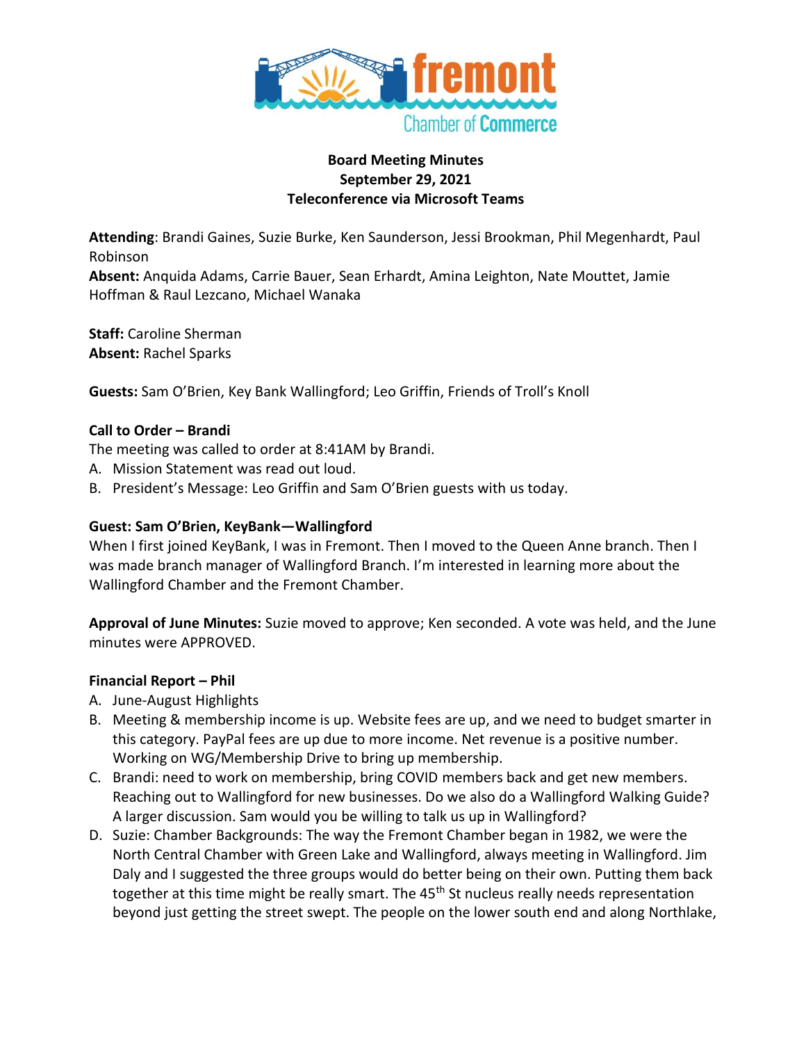

#### **Board Meeting Minutes September 29, 2021 Teleconference via Microsoft Teams**

**Attending**: Brandi Gaines, Suzie Burke, Ken Saunderson, Jessi Brookman, Phil Megenhardt, Paul Robinson

**Absent:** Anquida Adams, Carrie Bauer, Sean Erhardt, Amina Leighton, Nate Mouttet, Jamie Hoffman & Raul Lezcano, Michael Wanaka

**Staff:** Caroline Sherman **Absent:** Rachel Sparks

**Guests:** Sam O'Brien, Key Bank Wallingford; Leo Griffin, Friends of Troll's Knoll

### **Call to Order – Brandi**

The meeting was called to order at 8:41AM by Brandi.

- A. Mission Statement was read out loud.
- B. President's Message: Leo Griffin and Sam O'Brien guests with us today.

### **Guest: Sam O'Brien, KeyBank—Wallingford**

When I first joined KeyBank, I was in Fremont. Then I moved to the Queen Anne branch. Then I was made branch manager of Wallingford Branch. I'm interested in learning more about the Wallingford Chamber and the Fremont Chamber.

**Approval of June Minutes:** Suzie moved to approve; Ken seconded. A vote was held, and the June minutes were APPROVED.

### **Financial Report – Phil**

- A. June-August Highlights
- B. Meeting & membership income is up. Website fees are up, and we need to budget smarter in this category. PayPal fees are up due to more income. Net revenue is a positive number. Working on WG/Membership Drive to bring up membership.
- C. Brandi: need to work on membership, bring COVID members back and get new members. Reaching out to Wallingford for new businesses. Do we also do a Wallingford Walking Guide? A larger discussion. Sam would you be willing to talk us up in Wallingford?
- D. Suzie: Chamber Backgrounds: The way the Fremont Chamber began in 1982, we were the North Central Chamber with Green Lake and Wallingford, always meeting in Wallingford. Jim Daly and I suggested the three groups would do better being on their own. Putting them back together at this time might be really smart. The 45<sup>th</sup> St nucleus really needs representation beyond just getting the street swept. The people on the lower south end and along Northlake,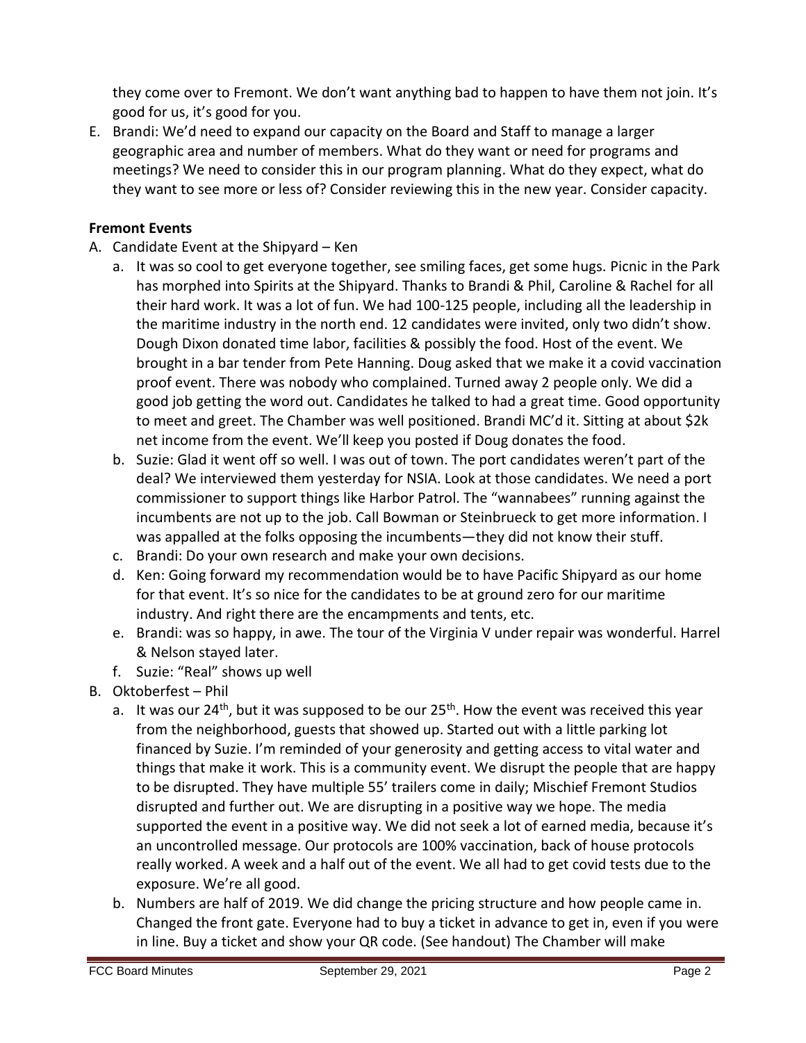they come over to Fremont. We don't want anything bad to happen to have them not join. It's good for us, it's good for you.

E. Brandi: We'd need to expand our capacity on the Board and Staff to manage a larger geographic area and number of members. What do they want or need for programs and meetings? We need to consider this in our program planning. What do they expect, what do they want to see more or less of? Consider reviewing this in the new year. Consider capacity.

## **Fremont Events**

- A. Candidate Event at the Shipyard Ken
	- a. It was so cool to get everyone together, see smiling faces, get some hugs. Picnic in the Park has morphed into Spirits at the Shipyard. Thanks to Brandi & Phil, Caroline & Rachel for all their hard work. It was a lot of fun. We had 100-125 people, including all the leadership in the maritime industry in the north end. 12 candidates were invited, only two didn't show. Dough Dixon donated time labor, facilities & possibly the food. Host of the event. We brought in a bar tender from Pete Hanning. Doug asked that we make it a covid vaccination proof event. There was nobody who complained. Turned away 2 people only. We did a good job getting the word out. Candidates he talked to had a great time. Good opportunity to meet and greet. The Chamber was well positioned. Brandi MC'd it. Sitting at about \$2k net income from the event. We'll keep you posted if Doug donates the food.
	- b. Suzie: Glad it went off so well. I was out of town. The port candidates weren't part of the deal? We interviewed them yesterday for NSIA. Look at those candidates. We need a port commissioner to support things like Harbor Patrol. The "wannabees" running against the incumbents are not up to the job. Call Bowman or Steinbrueck to get more information. I was appalled at the folks opposing the incumbents—they did not know their stuff.
	- c. Brandi: Do your own research and make your own decisions.
	- d. Ken: Going forward my recommendation would be to have Pacific Shipyard as our home for that event. It's so nice for the candidates to be at ground zero for our maritime industry. And right there are the encampments and tents, etc.
	- e. Brandi: was so happy, in awe. The tour of the Virginia V under repair was wonderful. Harrel & Nelson stayed later.
	- f. Suzie: "Real" shows up well
- B. Oktoberfest Phil
	- a. It was our 24<sup>th</sup>, but it was supposed to be our  $25<sup>th</sup>$ . How the event was received this year from the neighborhood, guests that showed up. Started out with a little parking lot financed by Suzie. I'm reminded of your generosity and getting access to vital water and things that make it work. This is a community event. We disrupt the people that are happy to be disrupted. They have multiple 55' trailers come in daily; Mischief Fremont Studios disrupted and further out. We are disrupting in a positive way we hope. The media supported the event in a positive way. We did not seek a lot of earned media, because it's an uncontrolled message. Our protocols are 100% vaccination, back of house protocols really worked. A week and a half out of the event. We all had to get covid tests due to the exposure. We're all good.
	- b. Numbers are half of 2019. We did change the pricing structure and how people came in. Changed the front gate. Everyone had to buy a ticket in advance to get in, even if you were in line. Buy a ticket and show your QR code. (See handout) The Chamber will make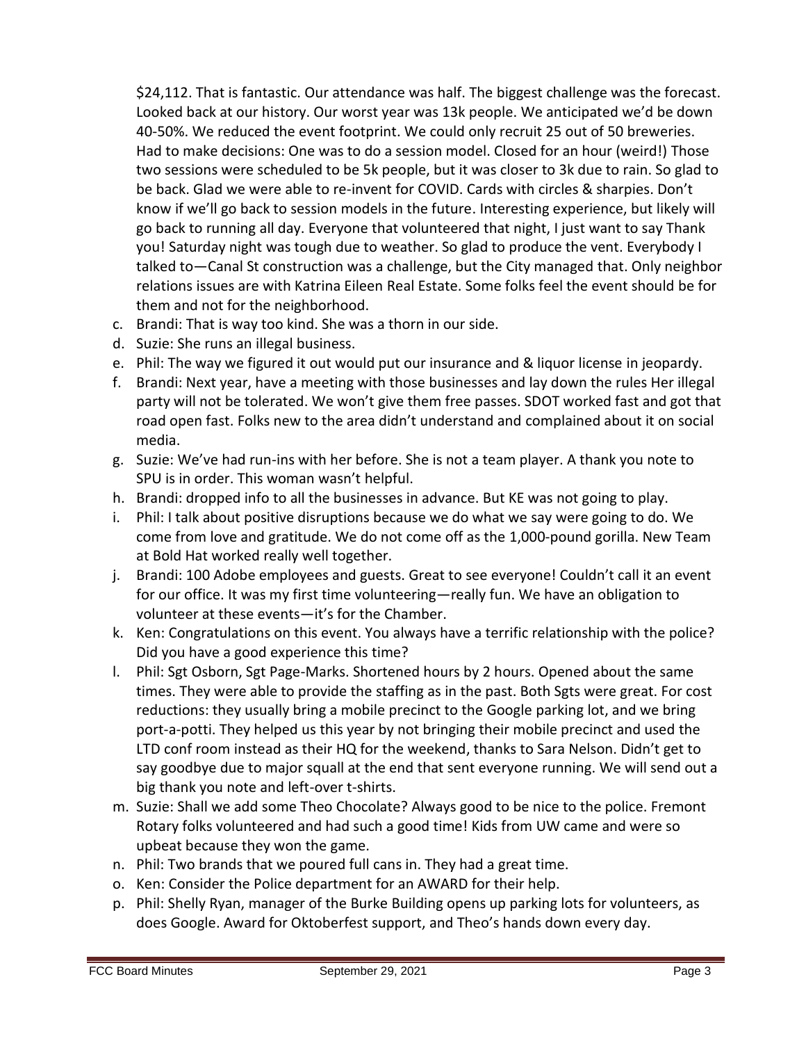\$24,112. That is fantastic. Our attendance was half. The biggest challenge was the forecast. Looked back at our history. Our worst year was 13k people. We anticipated we'd be down 40-50%. We reduced the event footprint. We could only recruit 25 out of 50 breweries. Had to make decisions: One was to do a session model. Closed for an hour (weird!) Those two sessions were scheduled to be 5k people, but it was closer to 3k due to rain. So glad to be back. Glad we were able to re-invent for COVID. Cards with circles & sharpies. Don't know if we'll go back to session models in the future. Interesting experience, but likely will go back to running all day. Everyone that volunteered that night, I just want to say Thank you! Saturday night was tough due to weather. So glad to produce the vent. Everybody I talked to—Canal St construction was a challenge, but the City managed that. Only neighbor relations issues are with Katrina Eileen Real Estate. Some folks feel the event should be for them and not for the neighborhood.

- c. Brandi: That is way too kind. She was a thorn in our side.
- d. Suzie: She runs an illegal business.
- e. Phil: The way we figured it out would put our insurance and & liquor license in jeopardy.
- f. Brandi: Next year, have a meeting with those businesses and lay down the rules Her illegal party will not be tolerated. We won't give them free passes. SDOT worked fast and got that road open fast. Folks new to the area didn't understand and complained about it on social media.
- g. Suzie: We've had run-ins with her before. She is not a team player. A thank you note to SPU is in order. This woman wasn't helpful.
- h. Brandi: dropped info to all the businesses in advance. But KE was not going to play.
- i. Phil: I talk about positive disruptions because we do what we say were going to do. We come from love and gratitude. We do not come off as the 1,000-pound gorilla. New Team at Bold Hat worked really well together.
- j. Brandi: 100 Adobe employees and guests. Great to see everyone! Couldn't call it an event for our office. It was my first time volunteering—really fun. We have an obligation to volunteer at these events—it's for the Chamber.
- k. Ken: Congratulations on this event. You always have a terrific relationship with the police? Did you have a good experience this time?
- l. Phil: Sgt Osborn, Sgt Page-Marks. Shortened hours by 2 hours. Opened about the same times. They were able to provide the staffing as in the past. Both Sgts were great. For cost reductions: they usually bring a mobile precinct to the Google parking lot, and we bring port-a-potti. They helped us this year by not bringing their mobile precinct and used the LTD conf room instead as their HQ for the weekend, thanks to Sara Nelson. Didn't get to say goodbye due to major squall at the end that sent everyone running. We will send out a big thank you note and left-over t-shirts.
- m. Suzie: Shall we add some Theo Chocolate? Always good to be nice to the police. Fremont Rotary folks volunteered and had such a good time! Kids from UW came and were so upbeat because they won the game.
- n. Phil: Two brands that we poured full cans in. They had a great time.
- o. Ken: Consider the Police department for an AWARD for their help.
- p. Phil: Shelly Ryan, manager of the Burke Building opens up parking lots for volunteers, as does Google. Award for Oktoberfest support, and Theo's hands down every day.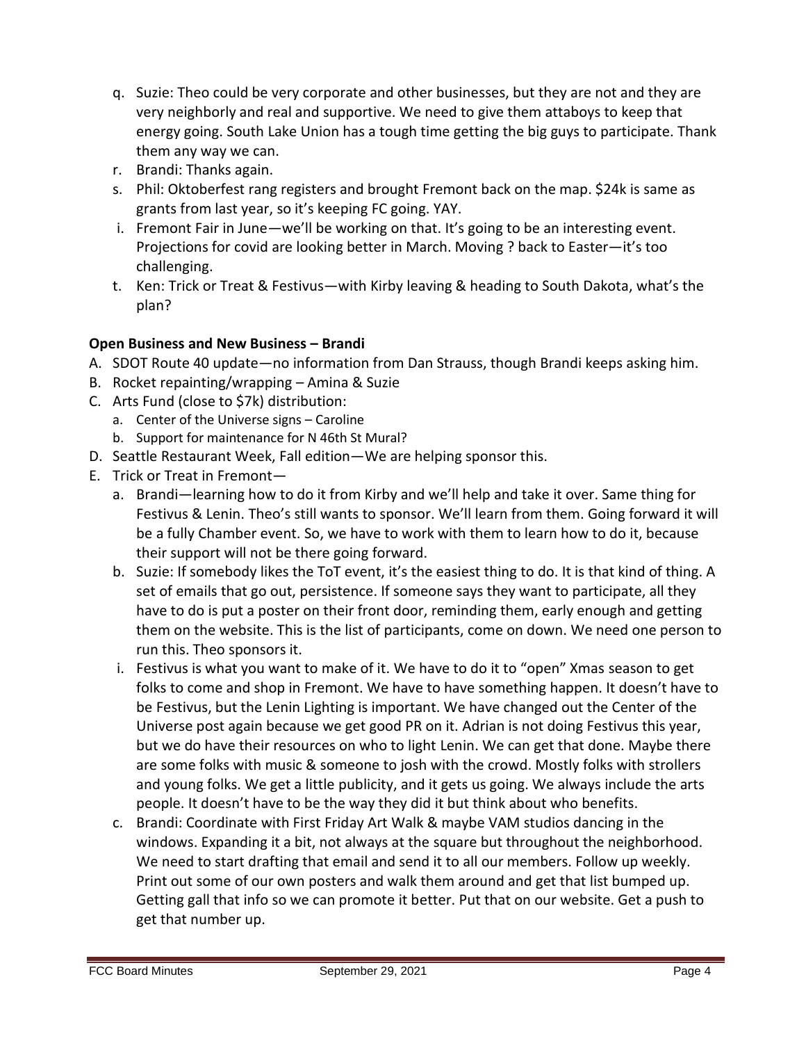- q. Suzie: Theo could be very corporate and other businesses, but they are not and they are very neighborly and real and supportive. We need to give them attaboys to keep that energy going. South Lake Union has a tough time getting the big guys to participate. Thank them any way we can.
- r. Brandi: Thanks again.
- s. Phil: Oktoberfest rang registers and brought Fremont back on the map. \$24k is same as grants from last year, so it's keeping FC going. YAY.
- i. Fremont Fair in June—we'll be working on that. It's going to be an interesting event. Projections for covid are looking better in March. Moving ? back to Easter—it's too challenging.
- t. Ken: Trick or Treat & Festivus—with Kirby leaving & heading to South Dakota, what's the plan?

# **Open Business and New Business – Brandi**

- A. SDOT Route 40 update—no information from Dan Strauss, though Brandi keeps asking him.
- B. Rocket repainting/wrapping Amina & Suzie
- C. Arts Fund (close to \$7k) distribution:
	- a. Center of the Universe signs Caroline
	- b. Support for maintenance for N 46th St Mural?
- D. Seattle Restaurant Week, Fall edition—We are helping sponsor this.
- E. Trick or Treat in Fremont
	- a. Brandi—learning how to do it from Kirby and we'll help and take it over. Same thing for Festivus & Lenin. Theo's still wants to sponsor. We'll learn from them. Going forward it will be a fully Chamber event. So, we have to work with them to learn how to do it, because their support will not be there going forward.
	- b. Suzie: If somebody likes the ToT event, it's the easiest thing to do. It is that kind of thing. A set of emails that go out, persistence. If someone says they want to participate, all they have to do is put a poster on their front door, reminding them, early enough and getting them on the website. This is the list of participants, come on down. We need one person to run this. Theo sponsors it.
	- i. Festivus is what you want to make of it. We have to do it to "open" Xmas season to get folks to come and shop in Fremont. We have to have something happen. It doesn't have to be Festivus, but the Lenin Lighting is important. We have changed out the Center of the Universe post again because we get good PR on it. Adrian is not doing Festivus this year, but we do have their resources on who to light Lenin. We can get that done. Maybe there are some folks with music & someone to josh with the crowd. Mostly folks with strollers and young folks. We get a little publicity, and it gets us going. We always include the arts people. It doesn't have to be the way they did it but think about who benefits.
	- c. Brandi: Coordinate with First Friday Art Walk & maybe VAM studios dancing in the windows. Expanding it a bit, not always at the square but throughout the neighborhood. We need to start drafting that email and send it to all our members. Follow up weekly. Print out some of our own posters and walk them around and get that list bumped up. Getting gall that info so we can promote it better. Put that on our website. Get a push to get that number up.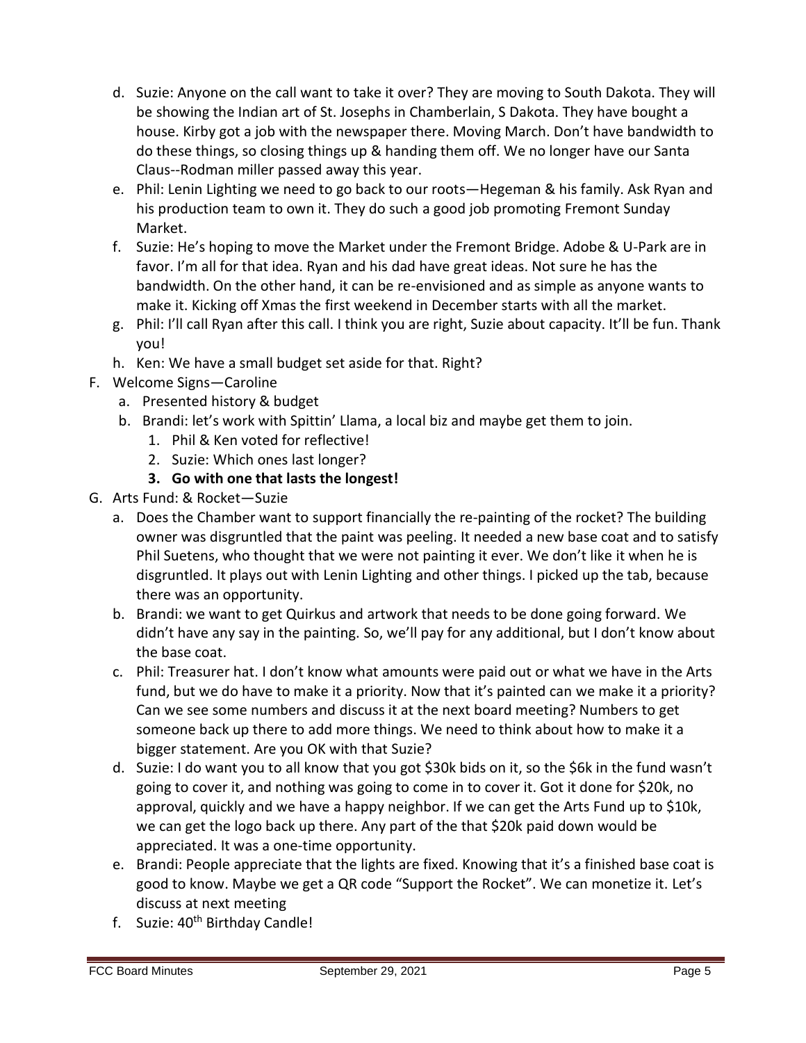- d. Suzie: Anyone on the call want to take it over? They are moving to South Dakota. They will be showing the Indian art of St. Josephs in Chamberlain, S Dakota. They have bought a house. Kirby got a job with the newspaper there. Moving March. Don't have bandwidth to do these things, so closing things up & handing them off. We no longer have our Santa Claus--Rodman miller passed away this year.
- e. Phil: Lenin Lighting we need to go back to our roots—Hegeman & his family. Ask Ryan and his production team to own it. They do such a good job promoting Fremont Sunday Market.
- f. Suzie: He's hoping to move the Market under the Fremont Bridge. Adobe & U-Park are in favor. I'm all for that idea. Ryan and his dad have great ideas. Not sure he has the bandwidth. On the other hand, it can be re-envisioned and as simple as anyone wants to make it. Kicking off Xmas the first weekend in December starts with all the market.
- g. Phil: I'll call Ryan after this call. I think you are right, Suzie about capacity. It'll be fun. Thank you!
- h. Ken: We have a small budget set aside for that. Right?
- F. Welcome Signs—Caroline
	- a. Presented history & budget
	- b. Brandi: let's work with Spittin' Llama, a local biz and maybe get them to join.
		- 1. Phil & Ken voted for reflective!
		- 2. Suzie: Which ones last longer?
		- **3. Go with one that lasts the longest!**
- G. Arts Fund: & Rocket—Suzie
	- a. Does the Chamber want to support financially the re-painting of the rocket? The building owner was disgruntled that the paint was peeling. It needed a new base coat and to satisfy Phil Suetens, who thought that we were not painting it ever. We don't like it when he is disgruntled. It plays out with Lenin Lighting and other things. I picked up the tab, because there was an opportunity.
	- b. Brandi: we want to get Quirkus and artwork that needs to be done going forward. We didn't have any say in the painting. So, we'll pay for any additional, but I don't know about the base coat.
	- c. Phil: Treasurer hat. I don't know what amounts were paid out or what we have in the Arts fund, but we do have to make it a priority. Now that it's painted can we make it a priority? Can we see some numbers and discuss it at the next board meeting? Numbers to get someone back up there to add more things. We need to think about how to make it a bigger statement. Are you OK with that Suzie?
	- d. Suzie: I do want you to all know that you got \$30k bids on it, so the \$6k in the fund wasn't going to cover it, and nothing was going to come in to cover it. Got it done for \$20k, no approval, quickly and we have a happy neighbor. If we can get the Arts Fund up to \$10k, we can get the logo back up there. Any part of the that \$20k paid down would be appreciated. It was a one-time opportunity.
	- e. Brandi: People appreciate that the lights are fixed. Knowing that it's a finished base coat is good to know. Maybe we get a QR code "Support the Rocket". We can monetize it. Let's discuss at next meeting
	- f. Suzie: 40<sup>th</sup> Birthday Candle!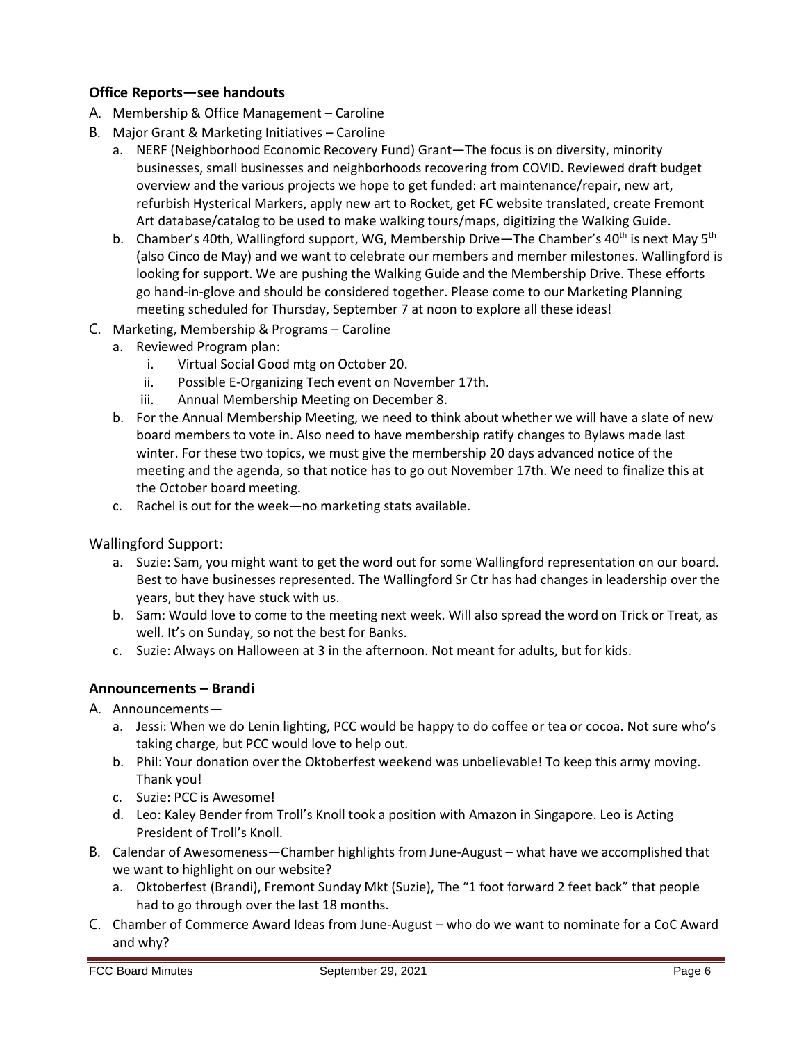### **Office Reports—see handouts**

- A. Membership & Office Management Caroline
- B. Major Grant & Marketing Initiatives Caroline
	- a. NERF (Neighborhood Economic Recovery Fund) Grant—The focus is on diversity, minority businesses, small businesses and neighborhoods recovering from COVID. Reviewed draft budget overview and the various projects we hope to get funded: art maintenance/repair, new art, refurbish Hysterical Markers, apply new art to Rocket, get FC website translated, create Fremont Art database/catalog to be used to make walking tours/maps, digitizing the Walking Guide.
	- b. Chamber's 40th, Wallingford support, WG, Membership Drive—The Chamber's 40<sup>th</sup> is next May 5<sup>th</sup> (also Cinco de May) and we want to celebrate our members and member milestones. Wallingford is looking for support. We are pushing the Walking Guide and the Membership Drive. These efforts go hand-in-glove and should be considered together. Please come to our Marketing Planning meeting scheduled for Thursday, September 7 at noon to explore all these ideas!
- C. Marketing, Membership & Programs Caroline
	- a. Reviewed Program plan:
		- i. Virtual Social Good mtg on October 20.
		- ii. Possible E-Organizing Tech event on November 17th.
		- iii. Annual Membership Meeting on December 8.
	- b. For the Annual Membership Meeting, we need to think about whether we will have a slate of new board members to vote in. Also need to have membership ratify changes to Bylaws made last winter. For these two topics, we must give the membership 20 days advanced notice of the meeting and the agenda, so that notice has to go out November 17th. We need to finalize this at the October board meeting.
	- c. Rachel is out for the week—no marketing stats available.

Wallingford Support:

- a. Suzie: Sam, you might want to get the word out for some Wallingford representation on our board. Best to have businesses represented. The Wallingford Sr Ctr has had changes in leadership over the years, but they have stuck with us.
- b. Sam: Would love to come to the meeting next week. Will also spread the word on Trick or Treat, as well. It's on Sunday, so not the best for Banks.
- c. Suzie: Always on Halloween at 3 in the afternoon. Not meant for adults, but for kids.

### **Announcements – Brandi**

- A. Announcements
	- a. Jessi: When we do Lenin lighting, PCC would be happy to do coffee or tea or cocoa. Not sure who's taking charge, but PCC would love to help out.
	- b. Phil: Your donation over the Oktoberfest weekend was unbelievable! To keep this army moving. Thank you!
	- c. Suzie: PCC is Awesome!
	- d. Leo: Kaley Bender from Troll's Knoll took a position with Amazon in Singapore. Leo is Acting President of Troll's Knoll.
- B. Calendar of Awesomeness—Chamber highlights from June-August what have we accomplished that we want to highlight on our website?
	- a. Oktoberfest (Brandi), Fremont Sunday Mkt (Suzie), The "1 foot forward 2 feet back" that people had to go through over the last 18 months.
- C. Chamber of Commerce Award Ideas from June-August who do we want to nominate for a CoC Award and why?